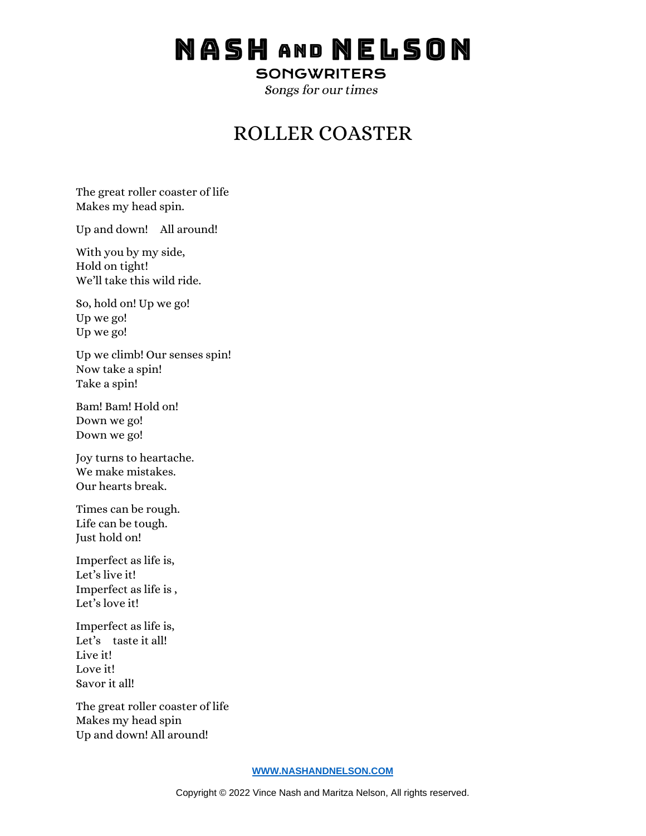## NASH AND NELSON

**SONGWRITERS** 

Songs for our times

## ROLLER COASTER

The great roller coaster of life Makes my head spin.

Up and down! All around!

With you by my side, Hold on tight! We'll take this wild ride.

So, hold on! Up we go! Up we go! Up we go!

Up we climb! Our senses spin! Now take a spin! Take a spin!

Bam! Bam! Hold on! Down we go! Down we go!

Joy turns to heartache. We make mistakes. Our hearts break.

Times can be rough. Life can be tough. Just hold on!

Imperfect as life is, Let's live it! Imperfect as life is , Let's love it!

Imperfect as life is, Let's taste it all! Live it! Love it! Savor it all!

The great roller coaster of life Makes my head spin Up and down! All around!

## **[WWW.NASHANDNELSON.COM](http://www.nashandnelson.com/)**